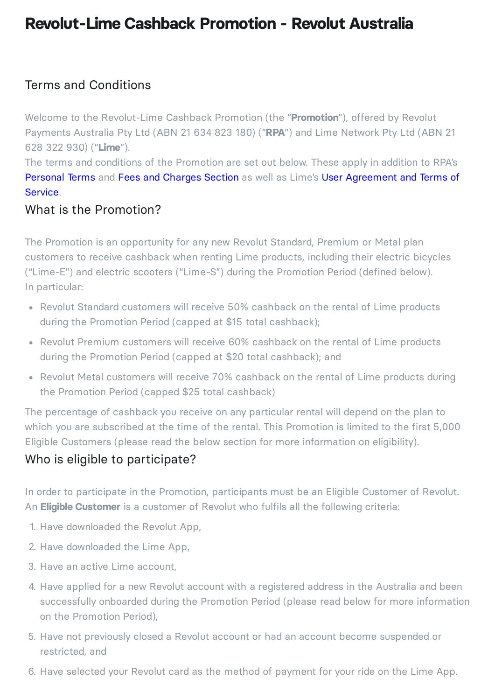# **Revolut-Lime Cashback Promotion - Revolut Australia**

# Terms and Conditions

Welcome to the Revolut-Lime Cashback Promotion (the "**Promotion**"), offered by Revolut Payments Australia Pty Ltd (ABN 21 634 823 180) ("**RPA**") and Lime Network Pty Ltd (ABN 21 628 322 930) ("**Lime**").

The terms and conditions of the Promotion are set out below. These apply in addition to RPA's [Personal](https://www.revolut.com/en-AU/legal/terms) Terms and Fees and [Charges](https://www.revolut.com/en-AU/legal/fees) Section as well as Lime's User [Agreement](https://www.li.me/user-agreement/au) and Terms of Service.

#### What is the Promotion?

The Promotion is an opportunity for any new Revolut Standard, Premium or Metal plan customers to receive cashback when renting Lime products, including their electric bicycles ("Lime-E") and electric scooters ("Lime-S") during the Promotion Period (defined below). In particular:

- Revolut Standard customers will receive 50% cashback on the rental of Lime products during the Promotion Period (capped at \$15 total cashback);
- Revolut Premium customers will receive 60% cashback on the rental of Lime products during the Promotion Period (capped at \$20 total cashback); and
- Revolut Metal customers will receive 70% cashback on the rental of Lime products during the Promotion Period (capped \$25 total cashback)

The percentage of cashback you receive on any particular rental will depend on the plan to which you are subscribed at the time of the rental. This Promotion is limited to the first 5,000 Eligible Customers (please read the below section for more information on eligibility).

#### Who is eligible to participate?

In order to participate in the Promotion, participants must be an Eligible Customer of Revolut. An **Eligible Customer** is a customer of Revolut who fulfils all the following criteria:

- 1. Have downloaded the Revolut App,
- 2. Have downloaded the Lime App,
- 3. Have an active Lime account,
- 4. Have applied for a new Revolut account with a registered address in the Australia and been successfully onboarded during the Promotion Period (please read below for more information on the Promotion Period),
- 5. Have not previously closed a Revolut account or had an account become suspended or restricted, and
- 6. Have selected your Revolut card as the method of payment for your ride on the Lime App.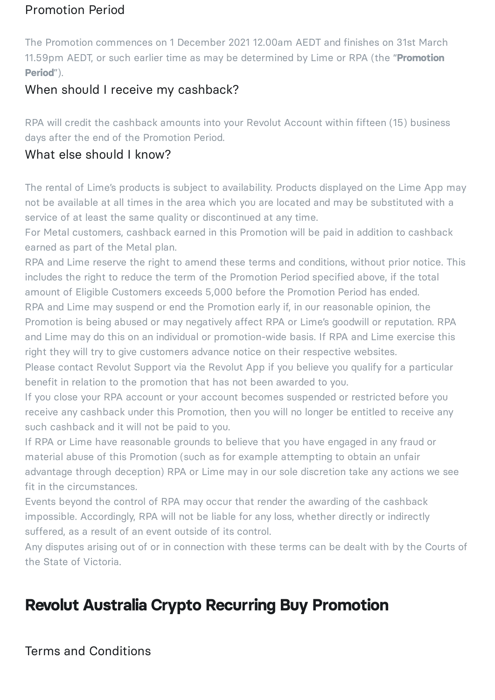# Promotion Period

The Promotion commences on 1 December 2021 12.00am AEDT and finishes on 31st March 11.59pm AEDT, or such earlier time as may be determined by Lime or RPA (the "**Promotion Period**").

# When should I receive my cashback?

RPA will credit the cashback amounts into your Revolut Account within fifteen (15) business days after the end of the Promotion Period.

# What else should I know?

The rental of Lime's products is subject to availability. Products displayed on the Lime App may not be available at all times in the area which you are located and may be substituted with a service of at least the same quality or discontinued at any time.

For Metal customers, cashback earned in this Promotion will be paid in addition to cashback earned as part of the Metal plan.

RPA and Lime reserve the right to amend these terms and conditions, without prior notice. This includes the right to reduce the term of the Promotion Period specified above, if the total amount of Eligible Customers exceeds 5,000 before the Promotion Period has ended.

RPA and Lime may suspend or end the Promotion early if, in our reasonable opinion, the Promotion is being abused or may negatively affect RPA or Lime's goodwill or reputation. RPA and Lime may do this on an individual or promotion-wide basis. If RPA and Lime exercise this right they will try to give customers advance notice on their respective websites.

Please contact Revolut Support via the Revolut App if you believe you qualify for a particular benefit in relation to the promotion that has not been awarded to you.

If you close your RPA account or your account becomes suspended or restricted before you receive any cashback under this Promotion, then you will no longer be entitled to receive any such cashback and it will not be paid to you.

If RPA or Lime have reasonable grounds to believe that you have engaged in any fraud or material abuse of this Promotion (such as for example attempting to obtain an unfair advantage through deception) RPA or Lime may in our sole discretion take any actions we see fit in the circumstances.

Events beyond the control of RPA may occur that render the awarding of the cashback impossible. Accordingly, RPA will not be liable for any loss, whether directly or indirectly suffered, as a result of an event outside of its control.

Any disputes arising out of or in connection with these terms can be dealt with by the Courts of the State of Victoria.

# **Revolut Australia Crypto Recurring Buy Promotion**

Terms and Conditions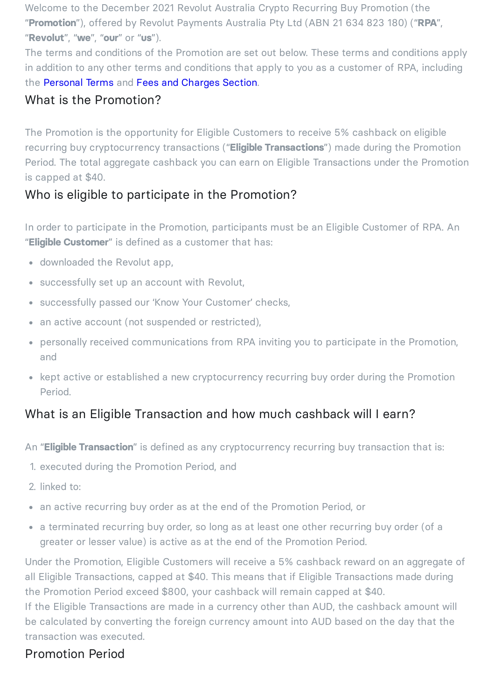Welcome to the December 2021 Revolut Australia Crypto Recurring Buy Promotion (the "**Promotion**"), offered by Revolut Payments Australia Pty Ltd (ABN 21 634 823 180) ("**RPA**", "**Revolut**", "**we**", "**our**" or "**us**").

The terms and conditions of the Promotion are set out below. These terms and conditions apply in addition to any other terms and conditions that apply to you as a customer of RPA, including the [Personal](https://www.revolut.com/en-AU/legal/terms) Terms and Fees and [Charges](https://www.revolut.com/en-AU/legal/fees) Section.

### What is the Promotion?

The Promotion is the opportunity for Eligible Customers to receive 5% cashback on eligible recurring buy cryptocurrency transactions ("**Eligible Transactions**") made during the Promotion Period. The total aggregate cashback you can earn on Eligible Transactions under the Promotion is capped at \$40.

# Who is eligible to participate in the Promotion?

In order to participate in the Promotion, participants must be an Eligible Customer of RPA. An "**Eligible Customer**" is defined as a customer that has:

- downloaded the Revolut app,
- successfully set up an account with Revolut,
- successfully passed our 'Know Your Customer' checks,
- an active account (not suspended or restricted),
- personally received communications from RPA inviting you to participate in the Promotion, and
- kept active or established a new cryptocurrency recurring buy order during the Promotion Period.

# What is an Eligible Transaction and how much cashback will I earn?

An "**Eligible Transaction**" is defined as any cryptocurrency recurring buy transaction that is:

- 1. executed during the Promotion Period, and
- 2. linked to:
- an active recurring buy order as at the end of the Promotion Period, or
- a terminated recurring buy order, so long as at least one other recurring buy order (of a greater or lesser value) is active as at the end of the Promotion Period.

Under the Promotion, Eligible Customers will receive a 5% cashback reward on an aggregate of all Eligible Transactions, capped at \$40. This means that if Eligible Transactions made during the Promotion Period exceed \$800, your cashback will remain capped at \$40.

If the Eligible Transactions are made in a currency other than AUD, the cashback amount will be calculated by converting the foreign currency amount into AUD based on the day that the transaction was executed.

# Promotion Period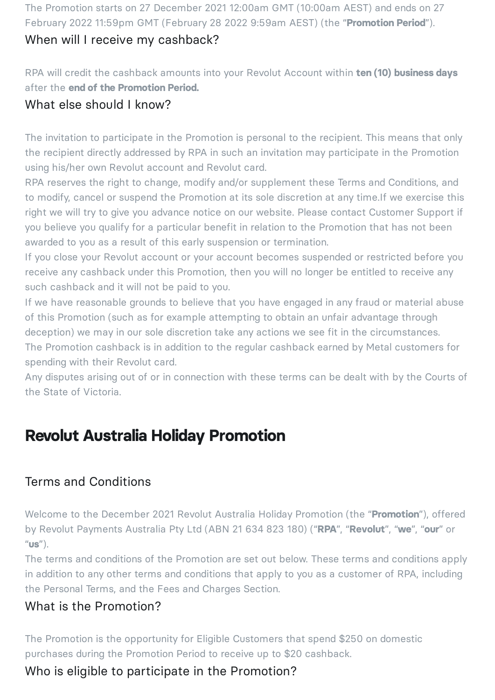The Promotion starts on 27 December 2021 12:00am GMT (10:00am AEST) and ends on 27 February 2022 11:59pm GMT (February 28 2022 9:59am AEST) (the "**Promotion Period**").

#### When will I receive my cashback?

RPA will credit the cashback amounts into your Revolut Account within **ten (10) business days** after the **end of the Promotion Period.**

#### What else should I know?

The invitation to participate in the Promotion is personal to the recipient. This means that only the recipient directly addressed by RPA in such an invitation may participate in the Promotion using his/her own Revolut account and Revolut card.

RPA reserves the right to change, modify and/or supplement these Terms and Conditions, and to modify, cancel or suspend the Promotion at its sole discretion at any time.If we exercise this right we will try to give you advance notice on our website. Please contact Customer Support if you believe you qualify for a particular benefit in relation to the Promotion that has not been awarded to you as a result of this early suspension or termination.

If you close your Revolut account or your account becomes suspended or restricted before you receive any cashback under this Promotion, then you will no longer be entitled to receive any such cashback and it will not be paid to you.

If we have reasonable grounds to believe that you have engaged in any fraud or material abuse of this Promotion (such as for example attempting to obtain an unfair advantage through deception) we may in our sole discretion take any actions we see fit in the circumstances. The Promotion cashback is in addition to the regular cashback earned by Metal customers for

spending with their Revolut card. Any disputes arising out of or in connection with these terms can be dealt with by the Courts of

the State of Victoria.

# **Revolut Australia Holiday Promotion**

#### Terms and Conditions

Welcome to the December 2021 Revolut Australia Holiday Promotion (the "**Promotion**"), offered by Revolut Payments Australia Pty Ltd (ABN 21 634 823 180) ("**RPA**", "**Revolut**", "**we**", "**our**" or "**us**").

The terms and conditions of the Promotion are set out below. These terms and conditions apply in addition to any other terms and conditions that apply to you as a customer of RPA, including the Personal Terms, and the Fees and Charges Section.

#### What is the Promotion?

The Promotion is the opportunity for Eligible Customers that spend \$250 on domestic purchases during the Promotion Period to receive up to \$20 cashback.

# Who is eligible to participate in the Promotion?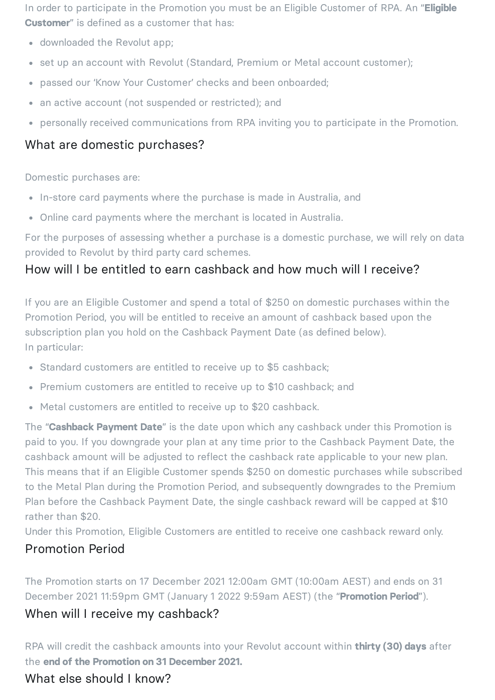In order to participate in the Promotion you must be an Eligible Customer of RPA. An "**Eligible Customer**" is defined as a customer that has:

- downloaded the Revolut app;
- set up an account with Revolut (Standard, Premium or Metal account customer);
- passed our 'Know Your Customer' checks and been onboarded;
- an active account (not suspended or restricted); and
- personally received communications from RPA inviting you to participate in the Promotion.

# What are domestic purchases?

Domestic purchases are:

- In-store card payments where the purchase is made in Australia, and
- Online card payments where the merchant is located in Australia.

For the purposes of assessing whether a purchase is a domestic purchase, we will rely on data provided to Revolut by third party card schemes.

# How will I be entitled to earn cashback and how much will I receive?

If you are an Eligible Customer and spend a total of \$250 on domestic purchases within the Promotion Period, you will be entitled to receive an amount of cashback based upon the subscription plan you hold on the Cashback Payment Date (as defined below). In particular:

- Standard customers are entitled to receive up to \$5 cashback;
- Premium customers are entitled to receive up to \$10 cashback; and
- Metal customers are entitled to receive up to \$20 cashback.

The "**Cashback Payment Date**" is the date upon which any cashback under this Promotion is paid to you. If you downgrade your plan at any time prior to the Cashback Payment Date, the cashback amount will be adjusted to reflect the cashback rate applicable to your new plan. This means that if an Eligible Customer spends \$250 on domestic purchases while subscribed to the Metal Plan during the Promotion Period, and subsequently downgrades to the Premium Plan before the Cashback Payment Date, the single cashback reward will be capped at \$10 rather than \$20.

Under this Promotion, Eligible Customers are entitled to receive one cashback reward only.

#### Promotion Period

The Promotion starts on 17 December 2021 12:00am GMT (10:00am AEST) and ends on 31 December 2021 11:59pm GMT (January 1 2022 9:59am AEST) (the "**Promotion Period**").

#### When will I receive my cashback?

RPA will credit the cashback amounts into your Revolut account within **thirty (30) days** after the **end of the Promotion on 31 December 2021.**

# What else should I know?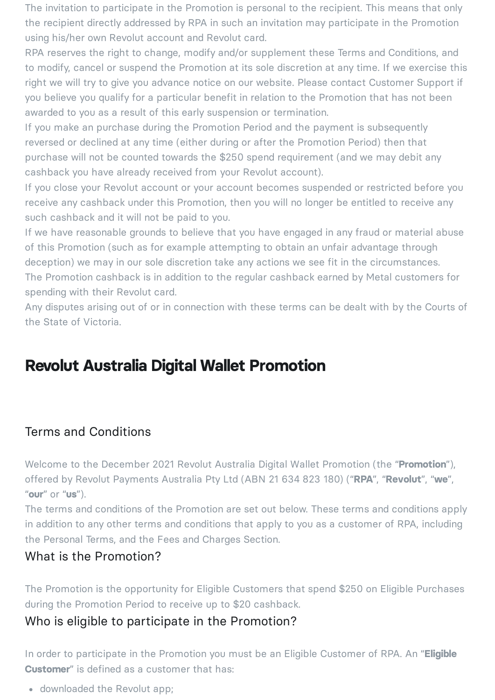The invitation to participate in the Promotion is personal to the recipient. This means that only the recipient directly addressed by RPA in such an invitation may participate in the Promotion using his/her own Revolut account and Revolut card.

RPA reserves the right to change, modify and/or supplement these Terms and Conditions, and to modify, cancel or suspend the Promotion at its sole discretion at any time. If we exercise this right we will try to give you advance notice on our website. Please contact Customer Support if you believe you qualify for a particular benefit in relation to the Promotion that has not been awarded to you as a result of this early suspension or termination.

If you make an purchase during the Promotion Period and the payment is subsequently reversed or declined at any time (either during or after the Promotion Period) then that purchase will not be counted towards the \$250 spend requirement (and we may debit any cashback you have already received from your Revolut account).

If you close your Revolut account or your account becomes suspended or restricted before you receive any cashback under this Promotion, then you will no longer be entitled to receive any such cashback and it will not be paid to you.

If we have reasonable grounds to believe that you have engaged in any fraud or material abuse of this Promotion (such as for example attempting to obtain an unfair advantage through deception) we may in our sole discretion take any actions we see fit in the circumstances. The Promotion cashback is in addition to the regular cashback earned by Metal customers for spending with their Revolut card.

Any disputes arising out of or in connection with these terms can be dealt with by the Courts of the State of Victoria.

# **Revolut Australia Digital Wallet Promotion**

#### Terms and Conditions

Welcome to the December 2021 Revolut Australia Digital Wallet Promotion (the "**Promotion**"), offered by Revolut Payments Australia Pty Ltd (ABN 21 634 823 180) ("**RPA**", "**Revolut**", "**we**", "**our**" or "**us**").

The terms and conditions of the Promotion are set out below. These terms and conditions apply in addition to any other terms and conditions that apply to you as a customer of RPA, including the Personal Terms, and the Fees and Charges Section.

#### What is the Promotion?

The Promotion is the opportunity for Eligible Customers that spend \$250 on Eligible Purchases during the Promotion Period to receive up to \$20 cashback.

# Who is eligible to participate in the Promotion?

In order to participate in the Promotion you must be an Eligible Customer of RPA. An "**Eligible Customer**" is defined as a customer that has:

downloaded the Revolut app;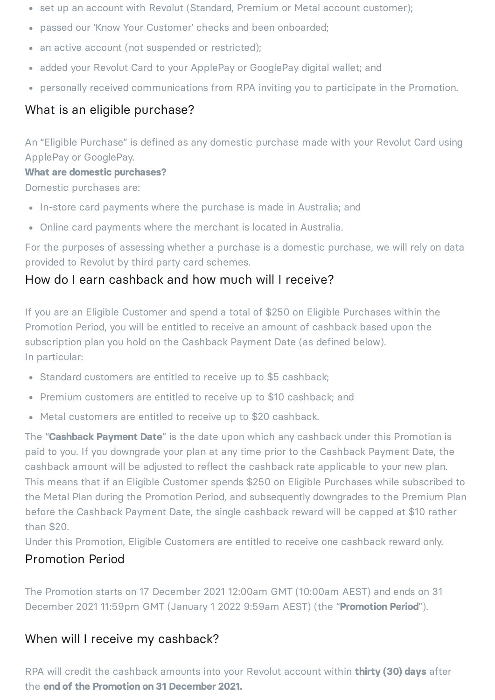- set up an account with Revolut (Standard, Premium or Metal account customer);
- passed our 'Know Your Customer' checks and been onboarded;
- an active account (not suspended or restricted);
- added your Revolut Card to your ApplePay or GooglePay digital wallet; and
- personally received communications from RPA inviting you to participate in the Promotion.

### What is an eligible purchase?

An "Eligible Purchase" is defined as any domestic purchase made with your Revolut Card using ApplePay or GooglePay.

#### **What are domestic purchases?**

Domestic purchases are:

- In-store card payments where the purchase is made in Australia; and
- Online card payments where the merchant is located in Australia.

For the purposes of assessing whether a purchase is a domestic purchase, we will rely on data provided to Revolut by third party card schemes.

#### How do I earn cashback and how much will I receive?

If you are an Eligible Customer and spend a total of \$250 on Eligible Purchases within the Promotion Period, you will be entitled to receive an amount of cashback based upon the subscription plan you hold on the Cashback Payment Date (as defined below). In particular:

- Standard customers are entitled to receive up to \$5 cashback;
- Premium customers are entitled to receive up to \$10 cashback; and
- Metal customers are entitled to receive up to \$20 cashback.

The "**Cashback Payment Date**" is the date upon which any cashback under this Promotion is paid to you. If you downgrade your plan at any time prior to the Cashback Payment Date, the cashback amount will be adjusted to reflect the cashback rate applicable to your new plan. This means that if an Eligible Customer spends \$250 on Eligible Purchases while subscribed to the Metal Plan during the Promotion Period, and subsequently downgrades to the Premium Plan before the Cashback Payment Date, the single cashback reward will be capped at \$10 rather than \$20.

Under this Promotion, Eligible Customers are entitled to receive one cashback reward only.

#### Promotion Period

The Promotion starts on 17 December 2021 12:00am GMT (10:00am AEST) and ends on 31 December 2021 11:59pm GMT (January 1 2022 9:59am AEST) (the "**Promotion Period**").

#### When will I receive my cashback?

RPA will credit the cashback amounts into your Revolut account within **thirty (30) days** after the **end of the Promotion on 31 December 2021.**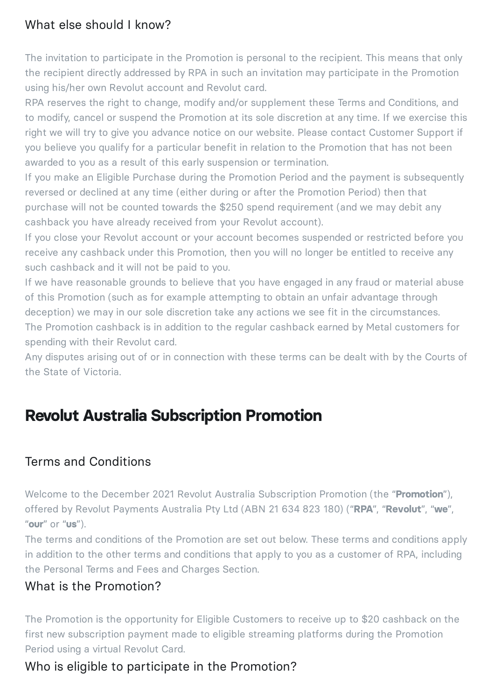# What else should I know?

The invitation to participate in the Promotion is personal to the recipient. This means that only the recipient directly addressed by RPA in such an invitation may participate in the Promotion using his/her own Revolut account and Revolut card.

RPA reserves the right to change, modify and/or supplement these Terms and Conditions, and to modify, cancel or suspend the Promotion at its sole discretion at any time. If we exercise this right we will try to give you advance notice on our website. Please contact Customer Support if you believe you qualify for a particular benefit in relation to the Promotion that has not been awarded to you as a result of this early suspension or termination.

If you make an Eligible Purchase during the Promotion Period and the payment is subsequently reversed or declined at any time (either during or after the Promotion Period) then that purchase will not be counted towards the \$250 spend requirement (and we may debit any cashback you have already received from your Revolut account).

If you close your Revolut account or your account becomes suspended or restricted before you receive any cashback under this Promotion, then you will no longer be entitled to receive any such cashback and it will not be paid to you.

If we have reasonable grounds to believe that you have engaged in any fraud or material abuse of this Promotion (such as for example attempting to obtain an unfair advantage through deception) we may in our sole discretion take any actions we see fit in the circumstances. The Promotion cashback is in addition to the regular cashback earned by Metal customers for

spending with their Revolut card.

Any disputes arising out of or in connection with these terms can be dealt with by the Courts of the State of Victoria.

# **Revolut Australia Subscription Promotion**

# Terms and Conditions

Welcome to the December 2021 Revolut Australia Subscription Promotion (the "**Promotion**"), offered by Revolut Payments Australia Pty Ltd (ABN 21 634 823 180) ("**RPA**", "**Revolut**", "**we**", "**our**" or "**us**").

The terms and conditions of the Promotion are set out below. These terms and conditions apply in addition to the other terms and conditions that apply to you as a customer of RPA, including the Personal Terms and Fees and Charges Section.

#### What is the Promotion?

The Promotion is the opportunity for Eligible Customers to receive up to \$20 cashback on the first new subscription payment made to eligible streaming platforms during the Promotion Period using a virtual Revolut Card.

# Who is eligible to participate in the Promotion?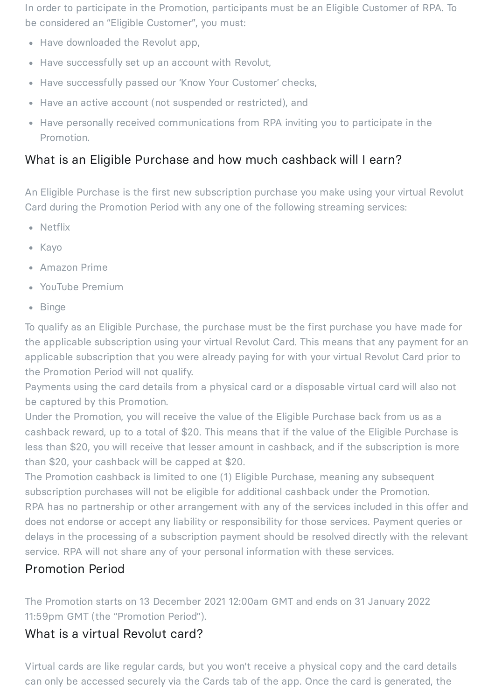In order to participate in the Promotion, participants must be an Eligible Customer of RPA. To be considered an "Eligible Customer", you must:

- Have downloaded the Revolut app,
- Have successfully set up an account with Revolut,
- Have successfully passed our 'Know Your Customer' checks,
- Have an active account (not suspended or restricted), and
- Have personally received communications from RPA inviting you to participate in the Promotion.

# What is an Eligible Purchase and how much cashback will I earn?

An Eligible Purchase is the first new subscription purchase you make using your virtual Revolut Card during the Promotion Period with any one of the following streaming services:

- Netflix
- Kavo
- Amazon Prime
- YouTube Premium
- Binge

To qualify as an Eligible Purchase, the purchase must be the first purchase you have made for the applicable subscription using your virtual Revolut Card. This means that any payment for an applicable subscription that you were already paying for with your virtual Revolut Card prior to the Promotion Period will not qualify.

Payments using the card details from a physical card or a disposable virtual card will also not be captured by this Promotion.

Under the Promotion, you will receive the value of the Eligible Purchase back from us as a cashback reward, up to a total of \$20. This means that if the value of the Eligible Purchase is less than \$20, you will receive that lesser amount in cashback, and if the subscription is more than \$20, your cashback will be capped at \$20.

The Promotion cashback is limited to one (1) Eligible Purchase, meaning any subsequent subscription purchases will not be eligible for additional cashback under the Promotion. RPA has no partnership or other arrangement with any of the services included in this offer and does not endorse or accept any liability or responsibility for those services. Payment queries or delays in the processing of a subscription payment should be resolved directly with the relevant service. RPA will not share any of your personal information with these services.

# Promotion Period

The Promotion starts on 13 December 2021 12:00am GMT and ends on 31 January 2022 11:59pm GMT (the "Promotion Period").

# What is a virtual Revolut card?

Virtual cards are like regular cards, but you won't receive a physical copy and the card details can only be accessed securely via the Cards tab of the app. Once the card is generated, the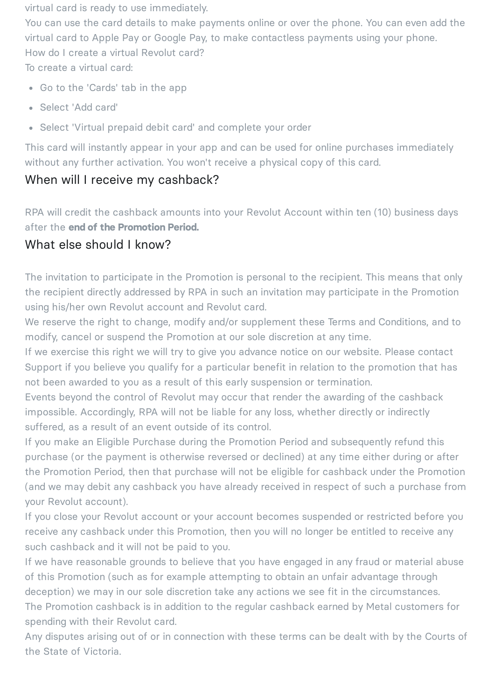virtual card is ready to use immediately.

You can use the card details to make payments online or over the phone. You can even add the virtual card to Apple Pay or Google Pay, to make contactless payments using your phone. How do I create a virtual Revolut card? To create a virtual card:

- Go to the 'Cards' tab in the app
- Select 'Add card'
- Select 'Virtual prepaid debit card' and complete your order

This card will instantly appear in your app and can be used for online purchases immediately without any further activation. You won't receive a physical copy of this card.

### When will I receive my cashback?

RPA will credit the cashback amounts into your Revolut Account within ten (10) business days after the **end of the Promotion Period.**

### What else should I know?

The invitation to participate in the Promotion is personal to the recipient. This means that only the recipient directly addressed by RPA in such an invitation may participate in the Promotion using his/her own Revolut account and Revolut card.

We reserve the right to change, modify and/or supplement these Terms and Conditions, and to modify, cancel or suspend the Promotion at our sole discretion at any time.

If we exercise this right we will try to give you advance notice on our website. Please contact Support if you believe you qualify for a particular benefit in relation to the promotion that has not been awarded to you as a result of this early suspension or termination.

Events beyond the control of Revolut may occur that render the awarding of the cashback impossible. Accordingly, RPA will not be liable for any loss, whether directly or indirectly suffered, as a result of an event outside of its control.

If you make an Eligible Purchase during the Promotion Period and subsequently refund this purchase (or the payment is otherwise reversed or declined) at any time either during or after the Promotion Period, then that purchase will not be eligible for cashback under the Promotion (and we may debit any cashback you have already received in respect of such a purchase from your Revolut account).

If you close your Revolut account or your account becomes suspended or restricted before you receive any cashback under this Promotion, then you will no longer be entitled to receive any such cashback and it will not be paid to you.

If we have reasonable grounds to believe that you have engaged in any fraud or material abuse of this Promotion (such as for example attempting to obtain an unfair advantage through deception) we may in our sole discretion take any actions we see fit in the circumstances.

The Promotion cashback is in addition to the regular cashback earned by Metal customers for spending with their Revolut card.

Any disputes arising out of or in connection with these terms can be dealt with by the Courts of the State of Victoria.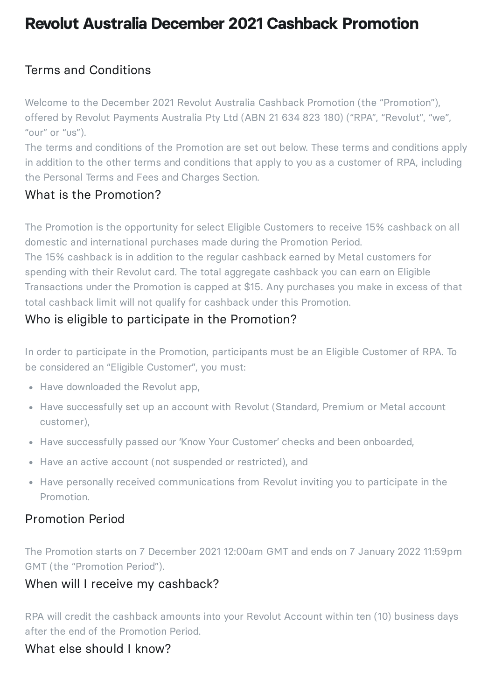# **Revolut Australia December 2021 Cashback Promotion**

# Terms and Conditions

Welcome to the December 2021 Revolut Australia Cashback Promotion (the "Promotion"), offered by Revolut Payments Australia Pty Ltd (ABN 21 634 823 180) ("RPA", "Revolut", "we", "our" or "us").

The terms and conditions of the Promotion are set out below. These terms and conditions apply in addition to the other terms and conditions that apply to you as a customer of RPA, including the Personal Terms and Fees and Charges Section.

#### What is the Promotion?

The Promotion is the opportunity for select Eligible Customers to receive 15% cashback on all domestic and international purchases made during the Promotion Period.

The 15% cashback is in addition to the regular cashback earned by Metal customers for spending with their Revolut card. The total aggregate cashback you can earn on Eligible Transactions under the Promotion is capped at \$15. Any purchases you make in excess of that total cashback limit will not qualify for cashback under this Promotion.

### Who is eligible to participate in the Promotion?

In order to participate in the Promotion, participants must be an Eligible Customer of RPA. To be considered an "Eligible Customer", you must:

- Have downloaded the Revolut app,
- Have successfully set up an account with Revolut (Standard, Premium or Metal account customer),
- Have successfully passed our 'Know Your Customer' checks and been onboarded,
- Have an active account (not suspended or restricted), and
- Have personally received communications from Revolut inviting you to participate in the Promotion.

#### Promotion Period

The Promotion starts on 7 December 2021 12:00am GMT and ends on 7 January 2022 11:59pm GMT (the "Promotion Period").

#### When will I receive my cashback?

RPA will credit the cashback amounts into your Revolut Account within ten (10) business days after the end of the Promotion Period.

#### What else should I know?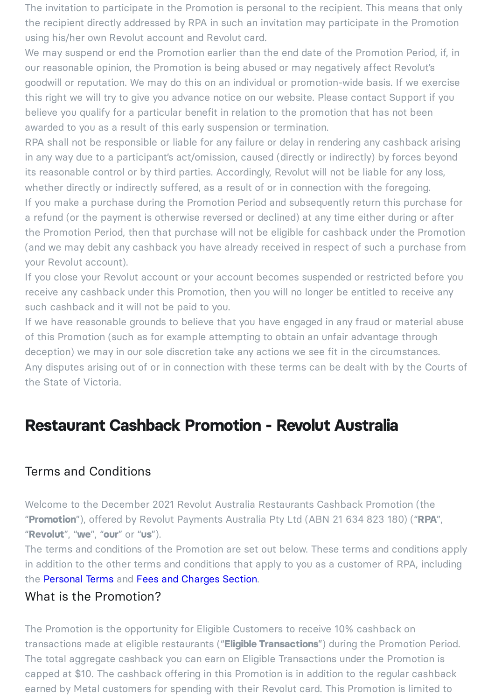The invitation to participate in the Promotion is personal to the recipient. This means that only the recipient directly addressed by RPA in such an invitation may participate in the Promotion using his/her own Revolut account and Revolut card.

We may suspend or end the Promotion earlier than the end date of the Promotion Period, if, in our reasonable opinion, the Promotion is being abused or may negatively affect Revolut's goodwill or reputation. We may do this on an individual or promotion-wide basis. If we exercise this right we will try to give you advance notice on our website. Please contact Support if you believe you qualify for a particular benefit in relation to the promotion that has not been awarded to you as a result of this early suspension or termination.

RPA shall not be responsible or liable for any failure or delay in rendering any cashback arising in any way due to a participant's act/omission, caused (directly or indirectly) by forces beyond its reasonable control or by third parties. Accordingly, Revolut will not be liable for any loss, whether directly or indirectly suffered, as a result of or in connection with the foregoing. If you make a purchase during the Promotion Period and subsequently return this purchase for a refund (or the payment is otherwise reversed or declined) at any time either during or after the Promotion Period, then that purchase will not be eligible for cashback under the Promotion (and we may debit any cashback you have already received in respect of such a purchase from your Revolut account).

If you close your Revolut account or your account becomes suspended or restricted before you receive any cashback under this Promotion, then you will no longer be entitled to receive any such cashback and it will not be paid to you.

If we have reasonable grounds to believe that you have engaged in any fraud or material abuse of this Promotion (such as for example attempting to obtain an unfair advantage through deception) we may in our sole discretion take any actions we see fit in the circumstances. Any disputes arising out of or in connection with these terms can be dealt with by the Courts of the State of Victoria.

# **Restaurant Cashback Promotion - Revolut Australia**

#### Terms and Conditions

Welcome to the December 2021 Revolut Australia Restaurants Cashback Promotion (the "**Promotion**"), offered by Revolut Payments Australia Pty Ltd (ABN 21 634 823 180) ("**RPA**", "**Revolut**", "**we**", "**our**" or "**us**").

The terms and conditions of the Promotion are set out below. These terms and conditions apply in addition to the other terms and conditions that apply to you as a customer of RPA, including the [Personal](https://www.revolut.com/en-AU/legal/terms) Terms and Fees and [Charges](https://www.revolut.com/en-AU/legal/fees) Section.

#### What is the Promotion?

The Promotion is the opportunity for Eligible Customers to receive 10% cashback on transactions made at eligible restaurants ("**Eligible Transactions**") during the Promotion Period. The total aggregate cashback you can earn on Eligible Transactions under the Promotion is capped at \$10. The cashback offering in this Promotion is in addition to the regular cashback earned by Metal customers for spending with their Revolut card. This Promotion is limited to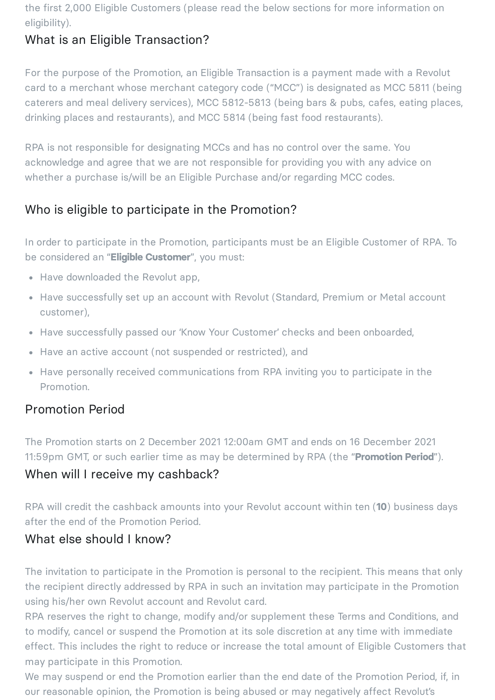the first 2,000 Eligible Customers (please read the below sections for more information on eligibility).

# What is an Eligible Transaction?

For the purpose of the Promotion, an Eligible Transaction is a payment made with a Revolut card to a merchant whose merchant category code ("MCC") is designated as MCC 5811 (being caterers and meal delivery services), MCC 5812-5813 (being bars & pubs, cafes, eating places, drinking places and restaurants), and MCC 5814 (being fast food restaurants).

RPA is not responsible for designating MCCs and has no control over the same. You acknowledge and agree that we are not responsible for providing you with any advice on whether a purchase is/will be an Eligible Purchase and/or regarding MCC codes.

# Who is eligible to participate in the Promotion?

In order to participate in the Promotion, participants must be an Eligible Customer of RPA. To be considered an "**Eligible Customer**", you must:

- Have downloaded the Revolut app,
- Have successfully set up an account with Revolut (Standard, Premium or Metal account customer),
- Have successfully passed our 'Know Your Customer' checks and been onboarded,
- Have an active account (not suspended or restricted), and
- Have personally received communications from RPA inviting you to participate in the Promotion.

#### Promotion Period

The Promotion starts on 2 December 2021 12:00am GMT and ends on 16 December 2021 11:59pm GMT, or such earlier time as may be determined by RPA (the "**Promotion Period**").

#### When will I receive my cashback?

RPA will credit the cashback amounts into your Revolut account within ten (**10**) business days after the end of the Promotion Period.

#### What else should I know?

The invitation to participate in the Promotion is personal to the recipient. This means that only the recipient directly addressed by RPA in such an invitation may participate in the Promotion using his/her own Revolut account and Revolut card.

RPA reserves the right to change, modify and/or supplement these Terms and Conditions, and to modify, cancel or suspend the Promotion at its sole discretion at any time with immediate effect. This includes the right to reduce or increase the total amount of Eligible Customers that may participate in this Promotion.

We may suspend or end the Promotion earlier than the end date of the Promotion Period, if, in our reasonable opinion, the Promotion is being abused or may negatively affect Revolut's